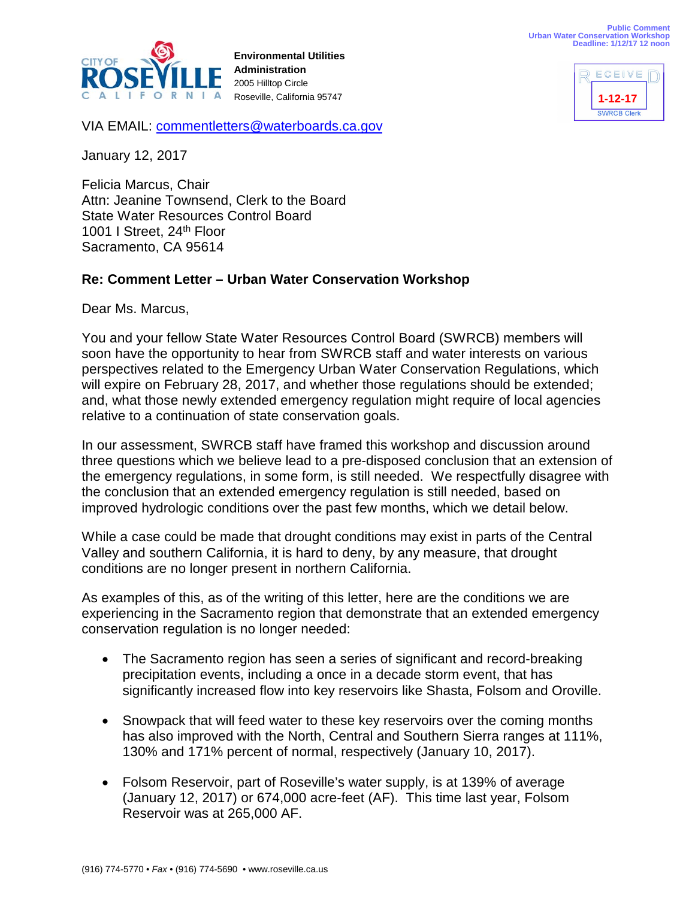**1-12-17**

**ECEIVE** 



**Environmental Utilities Administration** 2005 Hilltop Circle Roseville, California 95747

SMRCR Clerk

VIA EMAIL: [commentletters@waterboards.ca.gov](mailto:commentletters@waterboards.ca.gov)

January 12, 2017

Felicia Marcus, Chair Attn: Jeanine Townsend, Clerk to the Board State Water Resources Control Board 1001 I Street, 24<sup>th</sup> Floor Sacramento, CA 95614

## **Re: Comment Letter – Urban Water Conservation Workshop**

Dear Ms. Marcus,

You and your fellow State Water Resources Control Board (SWRCB) members will soon have the opportunity to hear from SWRCB staff and water interests on various perspectives related to the Emergency Urban Water Conservation Regulations, which will expire on February 28, 2017, and whether those regulations should be extended; and, what those newly extended emergency regulation might require of local agencies relative to a continuation of state conservation goals.

In our assessment, SWRCB staff have framed this workshop and discussion around three questions which we believe lead to a pre-disposed conclusion that an extension of the emergency regulations, in some form, is still needed. We respectfully disagree with the conclusion that an extended emergency regulation is still needed, based on improved hydrologic conditions over the past few months, which we detail below.

While a case could be made that drought conditions may exist in parts of the Central Valley and southern California, it is hard to deny, by any measure, that drought conditions are no longer present in northern California.

As examples of this, as of the writing of this letter, here are the conditions we are experiencing in the Sacramento region that demonstrate that an extended emergency conservation regulation is no longer needed:

- The Sacramento region has seen a series of significant and record-breaking precipitation events, including a once in a decade storm event, that has significantly increased flow into key reservoirs like Shasta, Folsom and Oroville.
- Snowpack that will feed water to these key reservoirs over the coming months has also improved with the North, Central and Southern Sierra ranges at 111%, 130% and 171% percent of normal, respectively (January 10, 2017).
- Folsom Reservoir, part of Roseville's water supply, is at 139% of average (January 12, 2017) or 674,000 acre-feet (AF). This time last year, Folsom Reservoir was at 265,000 AF.